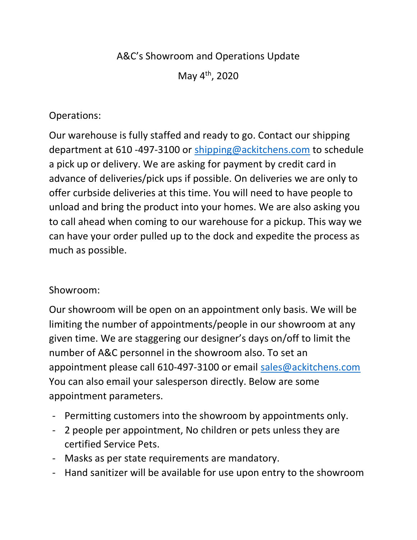## A&C's Showroom and Operations Update

May 4th, 2020

## Operations:

Our warehouse is fully staffed and ready to go. Contact our shipping department at 610 -497-3100 or shipping@ackitchens.com to schedule a pick up or delivery. We are asking for payment by credit card in advance of deliveries/pick ups if possible. On deliveries we are only to offer curbside deliveries at this time. You will need to have people to unload and bring the product into your homes. We are also asking you to call ahead when coming to our warehouse for a pickup. This way we can have your order pulled up to the dock and expedite the process as much as possible.

## Showroom:

Our showroom will be open on an appointment only basis. We will be limiting the number of appointments/people in our showroom at any given time. We are staggering our designer's days on/off to limit the number of A&C personnel in the showroom also. To set an appointment please call 610-497-3100 or email sales@ackitchens.com You can also email your salesperson directly. Below are some appointment parameters.

- Permitting customers into the showroom by appointments only.
- 2 people per appointment, No children or pets unless they are certified Service Pets.
- Masks as per state requirements are mandatory.
- Hand sanitizer will be available for use upon entry to the showroom